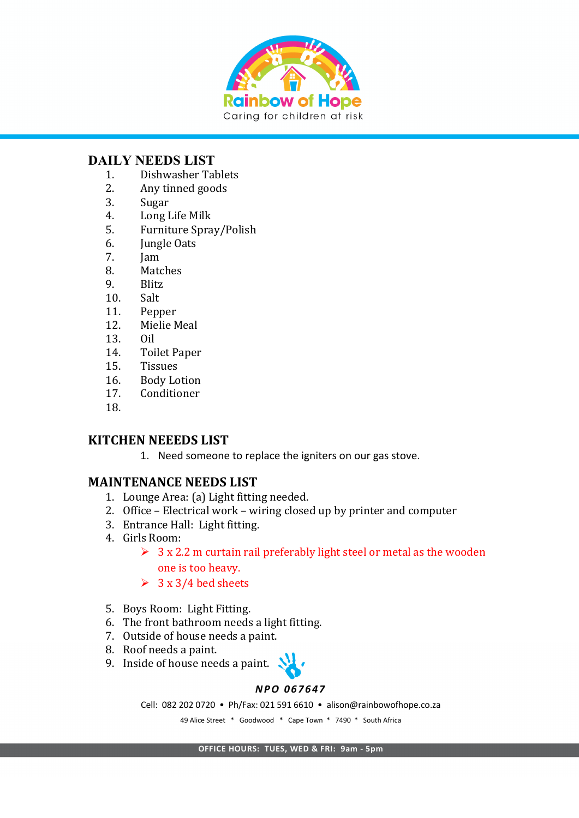

### **DAILY NEEDS LIST**

- 1. Dishwasher Tablets
- 2. Any tinned goods
- 3. Sugar
- 4. Long Life Milk
- 5. Furniture Spray/Polish
- 6. **Jungle Oats**
- 7. Jam
- 8. Matches
- 9. Blitz
- 10. Salt
- 11. Pepper
- 12. Mielie Meal
- 13. Oil
- 14. Toilet Paper
- 15. Tissues
- 16. Body Lotion
- 17. Conditioner
- 18.

# **KITCHEN NEEEDS LIST**

1. Need someone to replace the igniters on our gas stove.

# **MAINTENANCE NEEDS LIST**

- 1. Lounge Area: (a) Light fitting needed.
- 2. Office Electrical work wiring closed up by printer and computer
- 3. Entrance Hall: Light fitting.
- 4. Girls Room:
	- $\geq 3$  x 2.2 m curtain rail preferably light steel or metal as the wooden one is too heavy.
	- $\geq 3 \times 3/4$  bed sheets
- 5. Boys Room: Light Fitting.
- 6. The front bathroom needs a light fitting.
- 7. Outside of house needs a paint.
- 8. Roof needs a paint.
- 9. Inside of house needs a paint.  $\sum$



#### *NPO 067647*

Cell: 082 202 0720 • Ph/Fax: 021 591 6610 • alison@rainbowofhope.co.za

49 Alice Street \* Goodwood \* Cape Town \* 7490 \* South Africa